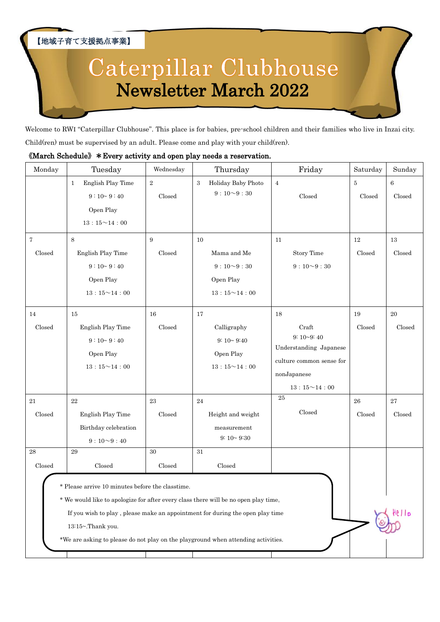【地域子育て支援拠点事業】

## Caterpillar Clubhouse<br>Newsletter March 2022

Welcome to RWI "Caterpillar Clubhouse". This place is for babies, pre-school children and their families who live in Inzai city. Child(ren) must be supervised by an adult. Please come and play with your child(ren).

|  |  | «March Schedule» * Every activity and open play needs a reservation. |
|--|--|----------------------------------------------------------------------|
|--|--|----------------------------------------------------------------------|

| Monday         | Tuesday                                                                                                                                                                                                                                                                                                                               | Wednesday | Thursday                                                           | Friday                                                                                                          | Saturday | Sunday |
|----------------|---------------------------------------------------------------------------------------------------------------------------------------------------------------------------------------------------------------------------------------------------------------------------------------------------------------------------------------|-----------|--------------------------------------------------------------------|-----------------------------------------------------------------------------------------------------------------|----------|--------|
|                | English Play Time<br>$\mathbf{1}$                                                                                                                                                                                                                                                                                                     | $\,2$     | Holiday Baby Photo<br>3<br>9:10~9:30                               | $\overline{4}$                                                                                                  | $\bf 5$  | 6      |
|                | $9:10-9:40$<br>Open Play<br>$13:15 \sim 14:00$                                                                                                                                                                                                                                                                                        | Closed    |                                                                    | Closed                                                                                                          | Closed   | Closed |
| $\overline{7}$ | 8                                                                                                                                                                                                                                                                                                                                     | 9         | 10                                                                 | 11                                                                                                              | 12       | 13     |
| Closed         | English Play Time                                                                                                                                                                                                                                                                                                                     | Closed    | Mama and Me                                                        | <b>Story Time</b>                                                                                               | Closed   | Closed |
|                | $9:10 - 9:40$                                                                                                                                                                                                                                                                                                                         |           | 9:10~9:30                                                          | $9:10\sim9:30$                                                                                                  |          |        |
|                | Open Play                                                                                                                                                                                                                                                                                                                             |           | Open Play                                                          |                                                                                                                 |          |        |
|                | $13:15 \sim 14:00$                                                                                                                                                                                                                                                                                                                    |           | $13:15 \sim 14:00$                                                 |                                                                                                                 |          |        |
| 14             | 15                                                                                                                                                                                                                                                                                                                                    | 16        | 17                                                                 | 18                                                                                                              | 19       | 20     |
| Closed         | English Play Time<br>$9:10-9:40$<br>Open Play<br>$13:15 \sim 14:00$                                                                                                                                                                                                                                                                   | Closed    | Calligraphy<br>$9:10 \sim 9:40$<br>Open Play<br>$13:15 \sim 14:00$ | Craft<br>$9:10-9:40$<br>Understanding Japanese<br>culture common sense for<br>nonJapanese<br>$13:15 \sim 14:00$ | Closed   | Closed |
| 21             | 22                                                                                                                                                                                                                                                                                                                                    | 23        | 24                                                                 | $\rm 25$                                                                                                        | 26       | 27     |
| Closed         | English Play Time<br>Birthday celebration<br>9:10~9:40                                                                                                                                                                                                                                                                                | Closed    | Height and weight<br>measurement<br>$9:10 - 9:30$                  | Closed                                                                                                          | Closed   | Closed |
| $\bf 28$       | 29                                                                                                                                                                                                                                                                                                                                    | $30\,$    | 31                                                                 |                                                                                                                 |          |        |
| Closed         | Closed                                                                                                                                                                                                                                                                                                                                | Closed    | Closed                                                             |                                                                                                                 |          |        |
|                | * Please arrive 10 minutes before the classtime.<br>* We would like to apologize for after every class there will be no open play time.<br>If you wish to play, please make an appointment for during the open play time<br>$13:15$ ~.Thank you.<br>*We are asking to please do not play on the playground when attending activities. |           |                                                                    |                                                                                                                 |          |        |